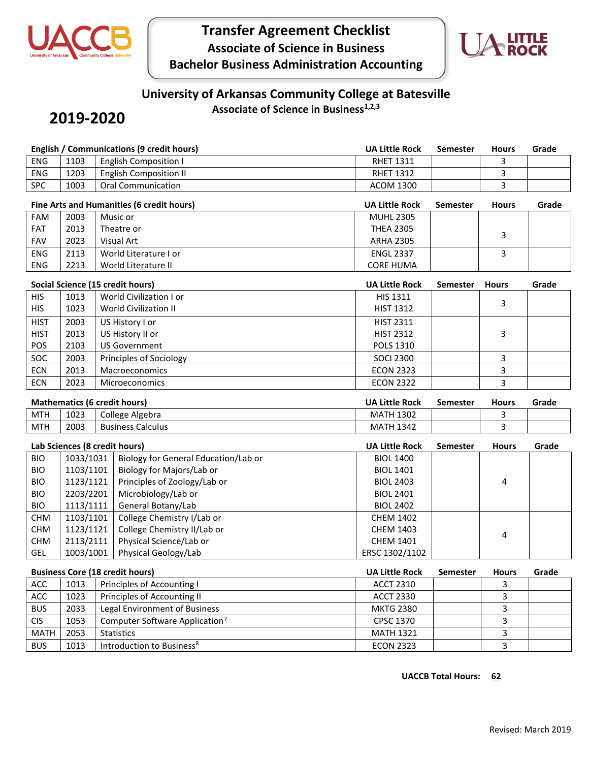

# **Transfer Agreement Checklist Associate of Science in Business Bachelor Business Administration Accounting**



# **University of Arkansas Community College at Batesville**

## **2019-2020**

**Associate of Science in Business1,2,3**

|                                           |           | <b>English / Communications (9 credit hours)</b>           | <b>UA Little Rock</b> | Semester        | <b>Hours</b> | Grade |
|-------------------------------------------|-----------|------------------------------------------------------------|-----------------------|-----------------|--------------|-------|
| <b>ENG</b>                                | 1103      | <b>English Composition I</b>                               | <b>RHET 1311</b>      |                 | 3            |       |
| <b>ENG</b>                                | 1203      | <b>English Composition II</b>                              | <b>RHET 1312</b>      |                 | 3            |       |
| <b>SPC</b>                                | 1003      | Oral Communication                                         | <b>ACOM 1300</b>      |                 | 3            |       |
| Fine Arts and Humanities (6 credit hours) |           |                                                            | <b>UA Little Rock</b> | <b>Semester</b> | <b>Hours</b> | Grade |
| FAM                                       | 2003      | Music or                                                   | <b>MUHL 2305</b>      |                 |              |       |
| FAT                                       | 2013      | Theatre or                                                 | <b>THEA 2305</b>      |                 |              |       |
| <b>FAV</b>                                | 2023      | Visual Art                                                 | <b>ARHA 2305</b>      |                 | 3            |       |
| <b>ENG</b>                                | 2113      | World Literature I or                                      | <b>ENGL 2337</b>      |                 | 3            |       |
| <b>ENG</b>                                | 2213      | World Literature II                                        | <b>CORE HUMA</b>      |                 |              |       |
|                                           |           | Social Science (15 credit hours)                           | <b>UA Little Rock</b> | Semester        | <b>Hours</b> | Grade |
| <b>HIS</b>                                | 1013      | World Civilization I or                                    | HIS 1311              |                 |              |       |
| <b>HIS</b>                                | 1023      | <b>World Civilization II</b>                               | <b>HIST 1312</b>      |                 | 3            |       |
| <b>HIST</b>                               | 2003      | US History I or                                            | <b>HIST 2311</b>      |                 |              |       |
| <b>HIST</b>                               | 2013      | US History II or                                           | <b>HIST 2312</b>      |                 | 3            |       |
| POS                                       | 2103      | <b>US Government</b>                                       | <b>POLS 1310</b>      |                 |              |       |
| SOC                                       | 2003      | Principles of Sociology                                    | <b>SOCI 2300</b>      |                 | 3            |       |
| <b>ECN</b>                                | 2013      | Macroeconomics                                             | <b>ECON 2323</b>      |                 | 3            |       |
| <b>ECN</b>                                | 2023      | Microeconomics                                             | <b>ECON 2322</b>      |                 | 3            |       |
| <b>Mathematics (6 credit hours)</b>       |           | <b>UA Little Rock</b>                                      | Semester              |                 |              |       |
|                                           |           |                                                            |                       |                 |              |       |
|                                           |           |                                                            |                       |                 | <b>Hours</b> | Grade |
| <b>MTH</b>                                | 1023      | College Algebra                                            | <b>MATH 1302</b>      |                 | 3            |       |
| <b>MTH</b>                                | 2003      | <b>Business Calculus</b>                                   | <b>MATH 1342</b>      |                 | 3            |       |
|                                           |           | Lab Sciences (8 credit hours)                              | <b>UA Little Rock</b> | <b>Semester</b> | <b>Hours</b> | Grade |
| <b>BIO</b>                                | 1033/1031 | Biology for General Education/Lab or                       | <b>BIOL 1400</b>      |                 |              |       |
| <b>BIO</b>                                | 1103/1101 | Biology for Majors/Lab or                                  | <b>BIOL 1401</b>      |                 |              |       |
| <b>BIO</b>                                | 1123/1121 | Principles of Zoology/Lab or                               | <b>BIOL 2403</b>      |                 | 4            |       |
| <b>BIO</b>                                | 2203/2201 | Microbiology/Lab or                                        | <b>BIOL 2401</b>      |                 |              |       |
| <b>BIO</b>                                | 1113/1111 | General Botany/Lab                                         | <b>BIOL 2402</b>      |                 |              |       |
| <b>CHM</b>                                | 1103/1101 | College Chemistry I/Lab or                                 | <b>CHEM 1402</b>      |                 |              |       |
| <b>CHM</b>                                | 1123/1121 | College Chemistry II/Lab or                                | <b>CHEM 1403</b>      |                 | 4            |       |
| <b>CHM</b>                                | 2113/2111 | Physical Science/Lab or                                    | <b>CHEM 1401</b>      |                 |              |       |
| GEL                                       | 1003/1001 | Physical Geology/Lab                                       | ERSC 1302/1102        |                 |              |       |
|                                           |           | <b>Business Core (18 credit hours)</b>                     | <b>UA Little Rock</b> | Semester        | <b>Hours</b> | Grade |
| ACC                                       | 1013      | Principles of Accounting I                                 | <b>ACCT 2310</b>      |                 | 3            |       |
| ACC                                       | 1023      | Principles of Accounting II                                | <b>ACCT 2330</b>      |                 | 3            |       |
| <b>BUS</b>                                | 2033      | Legal Environment of Business                              | <b>MKTG 2380</b>      |                 | 3            |       |
| <b>CIS</b>                                | 1053      | Computer Software Application <sup>7</sup>                 | CPSC 1370             |                 | 3            |       |
| <b>MATH</b>                               | 2053      | <b>Statistics</b><br>Introduction to Business <sup>8</sup> | <b>MATH 1321</b>      |                 | 3            |       |

**UACCB Total Hours: 62**